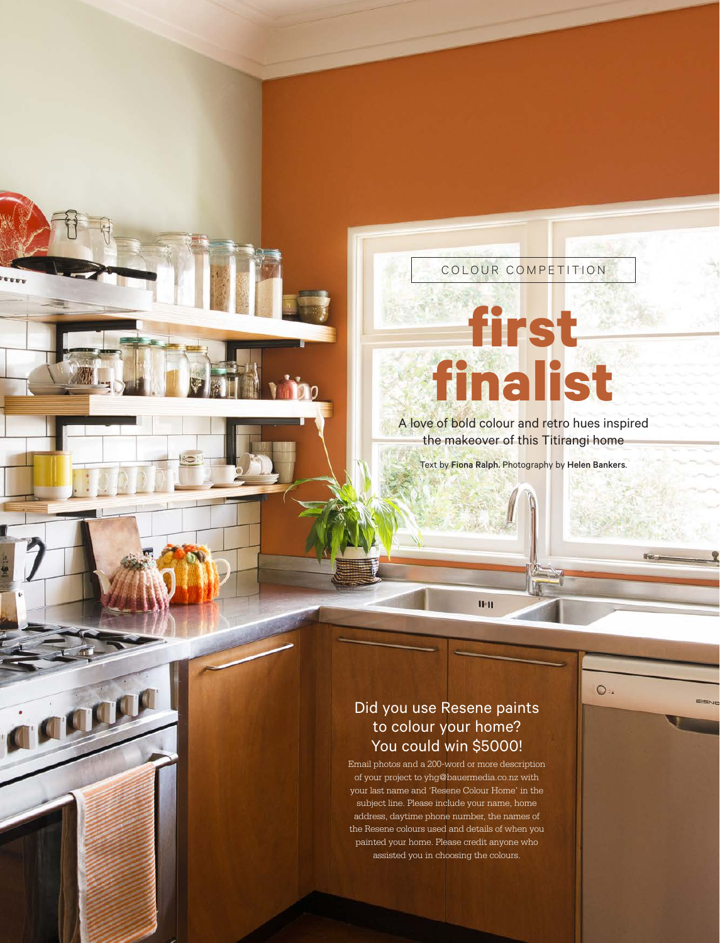## COLOUR COMPETITION

## **first finalist**

A love of bold colour and retro hues inspired the makeover of this Titirangi home

Text by Fiona Ralph. Photography by Helen Bankers.

 $O =$ 

## Did you use Resene paints to colour your home? You could win \$5000!

rann

 $H<sub>2</sub>H$ 

Email photos and a 200-word or more description of your project to yhg@bauermedia.co.nz with your last name and 'Resene Colour Home' in the subject line. Please include your name, home address, daytime phone number, the names of the Resene colours used and details of when you painted your home. Please credit anyone who assisted you in choosing the colours.